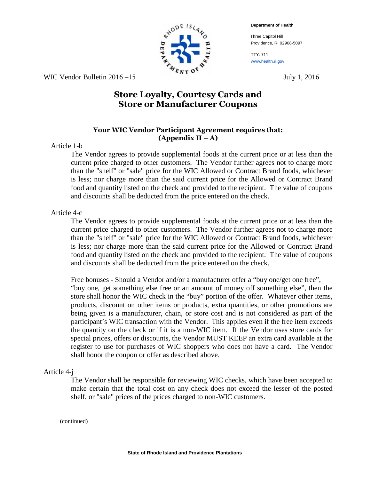**Department of Health**

Three Capitol Hill Providence, RI 02908-5097

TTY: 711 www.health.ri.gov

WIC Vendor Bulletin  $2016 - 15$  July 1, 2016

# **Store Loyalty, Courtesy Cards and Store or Manufacturer Coupons**

## **Your WIC Vendor Participant Agreement requires that: (Appendix II – A)**

#### Article 1-b

The Vendor agrees to provide supplemental foods at the current price or at less than the current price charged to other customers. The Vendor further agrees not to charge more than the "shelf" or "sale" price for the WIC Allowed or Contract Brand foods, whichever is less; nor charge more than the said current price for the Allowed or Contract Brand food and quantity listed on the check and provided to the recipient. The value of coupons and discounts shall be deducted from the price entered on the check.

#### Article 4-c

The Vendor agrees to provide supplemental foods at the current price or at less than the current price charged to other customers. The Vendor further agrees not to charge more than the "shelf" or "sale" price for the WIC Allowed or Contract Brand foods, whichever is less; nor charge more than the said current price for the Allowed or Contract Brand food and quantity listed on the check and provided to the recipient. The value of coupons and discounts shall be deducted from the price entered on the check.

Free bonuses - Should a Vendor and/or a manufacturer offer a "buy one/get one free", "buy one, get something else free or an amount of money off something else", then the store shall honor the WIC check in the "buy" portion of the offer. Whatever other items, products, discount on other items or products, extra quantities, or other promotions are being given is a manufacturer, chain, or store cost and is not considered as part of the participant's WIC transaction with the Vendor. This applies even if the free item exceeds the quantity on the check or if it is a non-WIC item. If the Vendor uses store cards for special prices, offers or discounts, the Vendor MUST KEEP an extra card available at the register to use for purchases of WIC shoppers who does not have a card. The Vendor shall honor the coupon or offer as described above.

### Article 4-j

The Vendor shall be responsible for reviewing WIC checks, which have been accepted to make certain that the total cost on any check does not exceed the lesser of the posted shelf, or "sale" prices of the prices charged to non-WIC customers.

(continued)